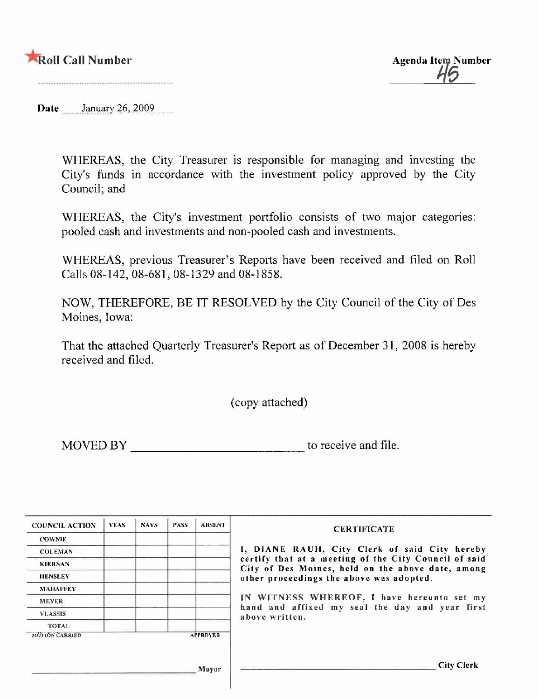#### **Roll Call Number**

**Agenda Item Number** 

Date January 26, 2009

WHEREAS, the City Treasurer is responsible for managing and investing the City's funds in accordance with the investment policy approved by the City Council; and

WHEREAS, the City's investment portfolio consists of two major categories: pooled cash and investments and non-pooled cash and investments.

WHEREAS, previous Treasurer's Reports have been received and filed on Roll Calls 08-142, 08-681, 08-1329 and 08-1858.

NOW, THEREFORE, BE IT RESOLVED by the City Council of the City of Des Moines, Iowa:

That the attached Quarterly Treasurer's Report as of December 31, 2008 is hereby received and filed.

(copy attached)

MOVED BY to receive and file.

| <b>COUNCIL ACTION</b> | YEAS. | <b>NAYS</b> | <b>PASS</b> | <b>ABSENT</b>   | <b>CERTIFICATE</b>                                                                                         |
|-----------------------|-------|-------------|-------------|-----------------|------------------------------------------------------------------------------------------------------------|
| <b>COWNIE</b>         |       |             |             |                 |                                                                                                            |
| <b>COLEMAN</b>        |       |             |             |                 | I, DIANE RAUH, City Clerk of said City hereby                                                              |
| <b>KIERNAN</b>        |       |             |             |                 | certify that at a meeting of the City Council of said<br>City of Des Moines, held on the above date, among |
| <b>HENSLEY</b>        |       |             |             |                 | other proceedings the above was adopted.                                                                   |
| <b>MAHAFFEY</b>       |       |             |             |                 |                                                                                                            |
| <b>MEYER</b>          |       |             |             |                 | IN WITNESS WHEREOF, I have hereunto set my                                                                 |
| <b>VLASSIS</b>        |       |             |             |                 | hand and affixed my seal the day and year first<br>above written.                                          |
| <b>TOTAL</b>          |       |             |             |                 |                                                                                                            |
| <b>MOTION CARRIED</b> |       |             |             | <b>APPROVED</b> |                                                                                                            |
|                       |       |             |             |                 |                                                                                                            |
|                       |       |             |             | Mayor           | City Clerk                                                                                                 |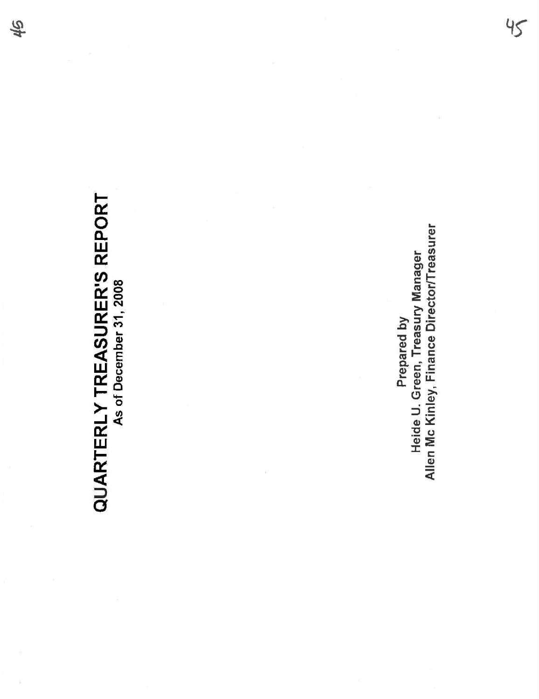# **QUARTERLY TREASURER'S REPORT**<br>As of December 31, 2008 QUARTERLY TREASURER'S REPORT As of December 31, 2008

Heide U. Green, Treasury Manager<br>Allen Mc Kinley, Finance Director/Treasurer Allen Mc Kinley, Finance DirectorlTreasurer Heide U. Green, Treasury Manager Prepared by Prepared by

 $45$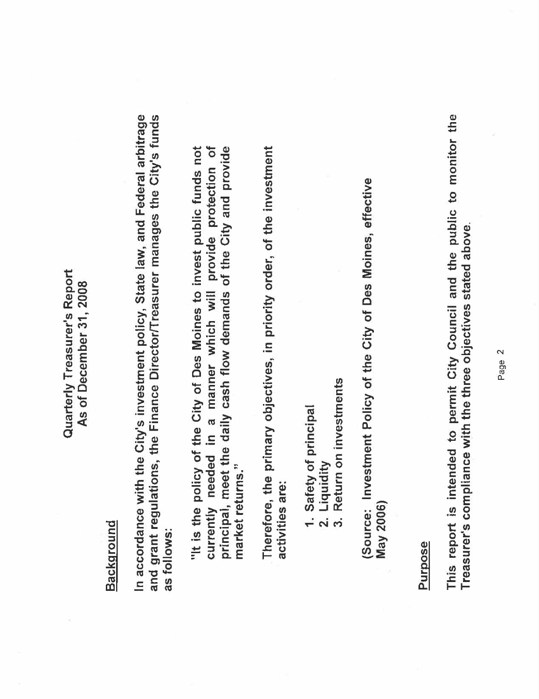#### Quarterly Treasurer's Report Quarterly Treasurer's Report As of December 31, 2008 As of December 31,2008

# Background

In accordance with the City's investment policy, State law, and Federal arbitrage and grant regulations, the Finance Director/Treasurer manages the City's funds and grant regulations, the Finance DirectorlTreasurer manages the City's funds In accordance with the City's investment policy, State law, and Federal arbitrage as follows: as follows:

principal, meet the daily cash flow demands of the City and provide "It is the policy of the City of Des Moines to invest public funds not currently needed in a manner which will provide protection of "It is the policy of the City of Des Moines to invest public funds not currently needed in a manner which wil provide protection of principal, meet the daily cash flow demands of the City and provide market returns." market returns." Therefore, the primary objectives, in priority order, of the investment Therefore, the primary objectives, in priority order, of the investment activities are: activities are:

- 1. Safety of principal 1. Safety of principal
- Liquidity 2. Liquidity  $\overline{a}$
- Return on investments 3. Return on investments  $\frac{1}{3}$

(Source: Investment Policy of the City of Des Moines, effective (Source: Investment Policy of the City of Des Moines, effective May 2006) May 2006)

#### Purpose

This report is intended to permit City Council and the public to monitor the This report is intended to permit City Council and the public to monitor the Treasurer's compliance with the three objectives stated above. Treasurer's compliance with the three objectives stated above.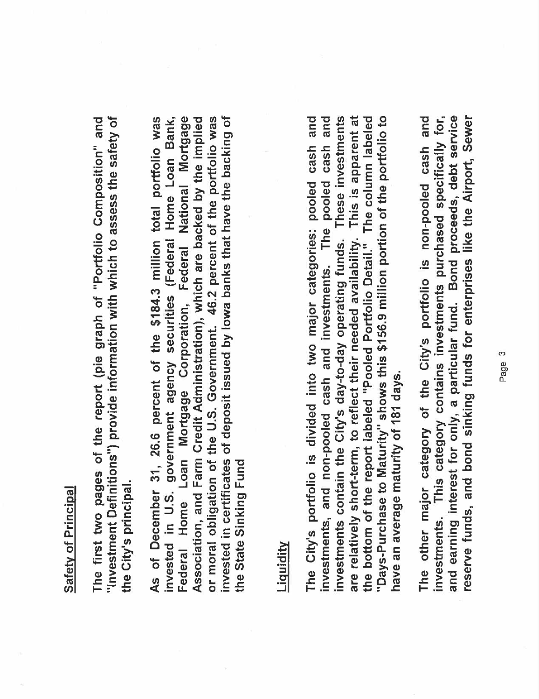### Safety of Principal **Safety of Principal**

The first two pages of the report (pie graph of "Portfolio Composition" and "Investment Definitions") provide information with which to assess the safety of "Investment Definitions") provide information with which to assess the safety of The first two pages of the report (pie graph of "Portolio Composition" and the City's principal. the City's principaL.

Federal Home Loan Mortgage Corporation, Federal National Mortgage or moral obligation of the U.S. Government. 46.2 percent of the portfolio was As of December 31, 26.6 percent of the \$184.3 million total portfolio was invested in U.S. government agency securities (Federal Home Loan Bank, Association, and Farm Credit Administration), which are backed by the implied invested in certificates of deposit issued by lowa banks that have the backing of invested in certificates of deposit issued by Iowa banks that have the backing of As of December 31, 26,6 percent of the \$184.3 milion total portfolio was invested in U.S. government agency securities (Federal Home Loan Bank, Federal Home Loan Mortgage Corporation, Federal National Mortgage or moral obligation of the U,S. Government. 46.2 percent of the portolio was Association, and Farm Credit Administration), which are backed by the implied the State Sinking Fund the State Sinking Fund

### Liquidity

These investments are relatively short-term, to reflect their needed availability. This is apparent at The City's portfolio is divided into two major categories: pooled cash and investments, and non-pooled cash and investments. The pooled cash and the bottom of the report labeled "Pooled Portfolio Detail." The column labeled "Days-Purchase to Maturity" shows this \$156.9 million portion of the portfolio to are relatively short-term, to reflect their needed availability. This is apparent at investments, and non-pooled cash and investments. The pooled cash and investments contain the City's day-to-day operating funds. These investments the bottom of the report labeled "Pooled Portfolio DetaiL." The column labeled "Days-Purchase to Maturity" shows this \$156.9 milion portion of the portolio to The City's portfolio is divided into two major categories: pooled cash and investments contain the City's day-to-day operating funds. have an average maturity of 181 days. have an average maturity of 181 days.

and investments. This category contains investments purchased specifically for, and earning interest for only, a particular fund. Bond proceeds, debt service reserve funds, and bond sinking funds for enterprises like the Airport, Sewer reserve funds, and bond sinking funds for enterprises like the Airport, Sewer and earning interest for only, a particular fund. Bond proceeds, debt service investments. This category contains investments purchased specifically for, The other major category of the City's portfolio is non-pooled cash and The other major category of the City's portfolio is non-pooled cash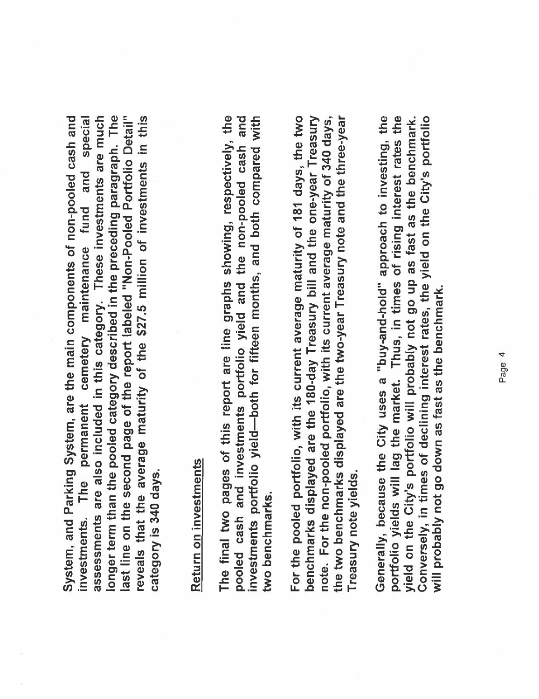assessments are also included in this category. These investments are much longer term than the pooled category described in the preceding paragraph. The last line on the second page of the report labeled "Non-Pooled Portfolio Detail" System, and Parking System, are the main components of non-pooled cash and special reveals that the average maturity of the \$27.5 million of investments in this System, and Parking System, are the main components of non-pooled cash and investments. The permanent cemetery maintenance fund and special longer term than the pooled category described in the preceding paragraph. The assessments are also included in this category, These investments are much last line on the second page of the report labeled "Non-Pooled Portfolio Detail"<br>reveals that the average maturity of the \$27,5 million of investments in this investments. The permanent cemetery maintenance fund and category is 340 days. category is 340 days.

# Return on investments Return on investments

The final two pages of this report are line graphs showing, respectively, the pooled cash and investments portfolio yield and the non-pooled cash and investments portfolio yield-both for fifteen months, and both compared with The final two pages of this report are line graphs showing, respectively, the pooled cash and investments portfolio yield—both for fifteen months, and both compared with<br>investments portfolio yield—both for fifteen months, two benchmarks. two benchmarks,

For the pooled portfolio, with its current average maturity of 181 days, the two benchmarks displayed are the 180-day Treasury bill and the one-year Treasury note. For the non-pooled portfolio, with its current average maturity of 340 days, the two benchmarks displayed are the two-year Treasury note and the three-year benchmarks displayed are the 180-day Treasury bill and the one-year Treasury the two benchmarks displayed are the two-year Treasury note and the three-year For the pooled portolio, with its current average maturity of 181 days, the two note. For the non-pooled portolio, with its current average maturity of 340 days, Treasury note yields. Treasury note yields.

portfolio yields will lag the market. Thus, in times of rising interest rates the yield on the City's portfolio will probably not go up as fast as the benchmark. Conversely, in times of declining interest rates, the yield on the City's portfolio Generally, because the City uses a "buy-and-hold" approach to investing, the portfolio yields will lag the market. Thus, in times of rising interest rates the Generally, because the City uses a "buy-and-hold" approach to investing, the yield on the City's portfolio wil probably not go up as fast as the benchmark. Conversely, in times of declining interest rates, the yield on the City's portolio will probably not go down as fast as the benchmark. will probably not go down as fast as the benchmark.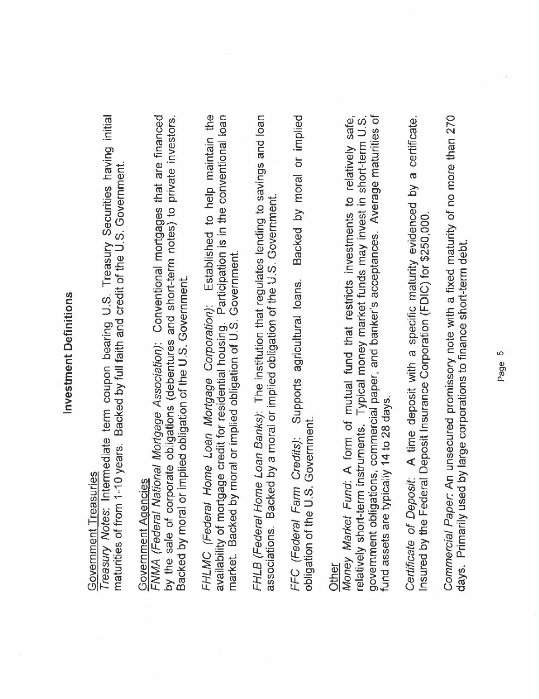# Investment Definitions Investment Definitions

# Government Treasuries Government Treasuries

Treasury Notes: Intermediate term coupon bearing U.S. Treasury Securities having initial Treasury Notes: Intermediate term coupon bearing U.S. Treasury Securities having initial maturities of from 1-10 years. Backed by full faith and credit of the U.S. Government. maturities of from 1-10 years. Backed by full faith and credit of the U.S. Government.

# Government Agencies Government AQencies

FNMA (Federal National Mortgage Association): Conventional mortgages that are financed by the sale of corporate obligations (debentures and short-term notes) to private investors. FNMA (Federal National Mortgage Association): Conventional mortgages that are financed by the sale of corporate obligations (debentures and short-term notes) to private investors. Backed by moral or implied obligation of the U.S. Government. Backed by moral or implied obligation of the U.S. Government.

availability of mortgage credit for residential housing. Participation is in the conventional loan<br>market. Backed by moral or implied obligation of U.S. Government. FHLMC (Federal Home Loan Mortgage Corporation): Established to help maintain the FHLMC (Federal Home Loan Mortgage Corporation): Established to help maintain the availability of mortgage credit for residential housing. Participation is in the conventional loan market. Backed by moral or implied obligation of U.S. Government.

FHLB (Federal Home Loan Banks): The institution that regulates lending to savings and loan FHLB (Federal Home Loan Banks): The institution that regulates lending to savings and loan associations. Backed by a moral or implied obligation of the U.S. Government. associations. Backed by a moral or implied obligation of the U.S. Government.

Backed by moral or implied FFC (Federal Farm Credits): Supports agricultural loans. Backed by moral or implied Supports agricultural loans. obligation of the U.S. Government. obligation of the U.S. Government. FFC (Federal Farm Credits):

government obligations, commercial paper, and banker's acceptances. Average maturities of Other<br>Money Market Fund: A form of mutual fund that restricts investments to relatively safe, relatively short-term instruments. Typical money market funds may invest in short-term U.S. government obligations, commercial paper, and banker's acceptances. Average maturities of Money Market Fund: A form of mutual fund that restricts investments to relatively safe, relatively short-term instruments. Typical money market funds may invest in short-term U.S. und assets are typically 14 to 28 days. fund assets are typically 14 to 28 days. Certificate of Deposit: A time deposit with a specific maturity evidenced by a certificate. Certificate of Deposit: A time deposit with a specific maturity evidenced by a certificate Insured by the Federal Deposit Insurance Corporation (FDIC) for \$250,000. Insured by the Federal Deposit Insurance Corporation (FDIC) for \$250,000.

Commercial Paper: An unsecured promissory note with a fixed maturity of no more than 270 Commercial Paper: An unsecured promissory note with a fixed maturity of no more than 270 days. Primarily used by large corporations to finance short-term debt. days. Primarily used by large corporations to finance short-term debt.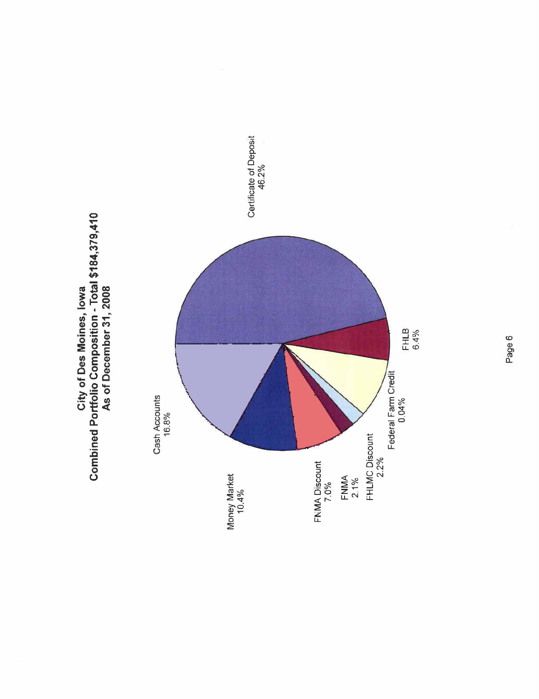

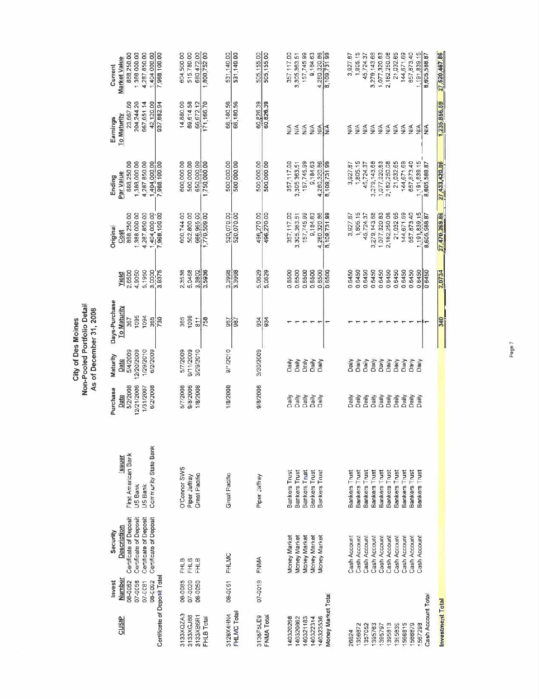|                                                                              |                                                                                                                                 |                                                                                                |                                                                     | As of December 31, 2008<br>City of Des Moines                       | Non-Pooled Portfolio Detail                                |                                               |                                                                     |                                                                   |                                                                                     |                                                                                      |
|------------------------------------------------------------------------------|---------------------------------------------------------------------------------------------------------------------------------|------------------------------------------------------------------------------------------------|---------------------------------------------------------------------|---------------------------------------------------------------------|------------------------------------------------------------|-----------------------------------------------|---------------------------------------------------------------------|-------------------------------------------------------------------|-------------------------------------------------------------------------------------|--------------------------------------------------------------------------------------|
| Number<br>08-0082<br>08-0092<br>07-0058<br>Invest<br>07-0081<br><b>CUSIP</b> | Certificate of Deposit<br>Certificate of Deposit<br>Certificate of Deposit<br>Certificate of Deposit<br>Description<br>Security | Community State Bank<br>First American Bark<br>Janss <sub>j</sub><br><b>JS Bank</b><br>US Bank | 12/21/2006<br>5/2/2008<br>1/31/2007<br>6/2/2008<br>Purchase<br>Date | 1/29/2010<br>5/4/2009<br>12/20/2009<br>6/2/2009<br>Maturity<br>Date | Days-Purchase<br>To Maturity<br>1095<br>1094<br>365<br>367 | 5.1950<br>4.9050<br>3.0000<br>2.6500<br>Yield | 888,250.00<br>388,000.00<br>4,287,850.00<br><b>Original</b><br>Cost | 4,287,850.00<br>888,250.00<br>1,388,000.00<br>Par Value<br>Ending | 667,651.14<br>23,667.60<br>204,244.20<br>42,120.00<br><b>To Maturity</b><br>Eamings | 1388 000.00<br>4,287,850.00<br>1,404 000.00<br>888,250.00<br>Market Value<br>Current |
| Certificate of Deposit Total                                                 |                                                                                                                                 |                                                                                                |                                                                     |                                                                     | 730                                                        | 3.8375                                        | 1,404,000.00<br>7,968,100.00                                        | 1,404,000.00<br>7,988,100.00                                      | 937,682.94                                                                          | 7,968,100.00                                                                         |
| 08-0085<br>07-0020<br>08-0050<br>3133XQZA3<br>3133XGJ88<br>3133XB6R1         | FFHLB<br>FHLB<br><b>FHLB</b>                                                                                                    | D'Connor SWS<br>Great Pacific<br>Piper Jaffray                                                 | 5/7/2008<br>9/8/2006<br>1/8/2008                                    | 5/7/2009<br>9/11/2009<br>3/29/2010                                  | 1099<br>365<br>511                                         | 2.3538<br>5.0468<br>3.3802                    | 600,744.00<br>502,800.00<br>666,965.00                              | 600,000.00<br>500 000 00<br>650,000.00                            | 14,880.00<br>89,614.58<br>66,672.12                                                 | 604,500.00<br>515,780.00<br>680,472.00                                               |
| FHLB Total                                                                   |                                                                                                                                 |                                                                                                |                                                                     |                                                                     | 758                                                        | 3.5936                                        | 1,770,509.00                                                        | 1,750,000.00                                                      | 171,166.70                                                                          | 1,800,75200                                                                          |
| 08-0051<br>FHLMC Total<br>3128X4HN4                                          | <b>FHLMC</b>                                                                                                                    | <b>Great Pacific</b>                                                                           | 1/8/2008                                                            | 0/12010                                                             | 967<br>987                                                 | 3,3998                                        | 520,070.00<br>520,070.00                                            | 500,000,00<br>500 000 00                                          | 66,180.56<br>66,180.56                                                              | 531,140.00<br>531,140.00                                                             |
| 07-0019<br>3136F5LE9<br>FNMA Total                                           | FNMA                                                                                                                            | Piper Jaffray                                                                                  | 9/8/2006                                                            | 3/30/2009                                                           | 934<br>55                                                  | 5.0629<br>5.0629                              | 496,270.00<br>496,270.00                                            | 500,000.00<br>500,000.00                                          | 60,226.39<br>60,826.39                                                              | 505,155.00<br>505,155.00                                                             |
| 140321183<br>140320268<br>140320862                                          | Money Market<br>Money Market<br>Money Market                                                                                    | <b>Bankers Trust</b><br>Bankers Trust<br>Bankers Trust                                         | Daily<br><b>QIIEC</b><br><b>Dally</b>                               | Daily<br>Deily<br>Daily                                             |                                                            | 0.6500<br>0.6500<br>0.6500                    | 157,745.99<br>357,117.00<br>3,305,363.51                            | 157,745.99<br>357, 117.00<br>3, 305, 363.51                       | NA<br>NA.<br>$\frac{4}{2}$                                                          | 157,745.99<br>357,117.00<br>3,305,363.51                                             |
| 140322314<br>140323536                                                       | Money Market<br>Money Market                                                                                                    | Bankers Trust<br>Bankers Trust                                                                 | Daily<br>Daily                                                      | Daily<br>Daily                                                      |                                                            | 0.6500<br>0.6500                              | 9,184.63<br>4,260,320.86                                            | 9,184.63<br>4,280,320.86                                          | NA<br>웣                                                                             | 4.280.320.86<br>8.109,731.99<br>8,184.63                                             |
| Money Market Total                                                           |                                                                                                                                 |                                                                                                |                                                                     |                                                                     |                                                            | 0.6500                                        | 8,109,731.99                                                        | 8,109,73199                                                       | $\frac{4}{2}$                                                                       |                                                                                      |
| 1356872<br>26824                                                             | Cash Account<br>Cash Account                                                                                                    | Bankers Trust<br>Bankers Trust                                                                 | Daily<br>Daily                                                      | Daily<br>Daily                                                      |                                                            | 0.6450<br>0.6450                              | 1,805.15<br>3,927.87                                                | 1,805.15<br>3,927.67                                              | N/A<br>Š                                                                            | 1,805.15<br>3,927.87                                                                 |
| 1395763<br>1357052                                                           | Cash Account<br>Cash Account                                                                                                    | Bankers Trust<br>Bankers Trust                                                                 | Daily<br>aily                                                       | Daily<br>Daily                                                      |                                                            | 0.6450<br>0.6450                              | 45,724.37<br>3,279,143.68                                           | 3,279,143.68<br>45,724.37                                         | N/A<br>N/A                                                                          | 3,279,143.68<br>45,724.37                                                            |
| 1395813<br>1395797                                                           | Cash Account<br>Cash Account                                                                                                    | Bankers Trust<br>Bankers Trust                                                                 | Daily<br>Daily                                                      | Daily<br>Daily                                                      |                                                            | 0.6450<br>0.6450                              | 2,182,250.08<br>1,077,320.83                                        | 1,077,320.63<br>2,182,250.08                                      | NA<br>ΔÁ,                                                                           | 1,077,320.83<br>2,182,250.08                                                         |
| 1566815<br>1395839                                                           | Cash Account<br>Cash Account                                                                                                    | Bankers Trust<br>Bankers Trust                                                                 | Daily<br>Dally                                                      | Daily<br>Daily                                                      |                                                            | 0.6450<br>0.6450                              | 21,032.65<br>144,671.69                                             | 21,032.65<br>144,671.69                                           | NA.<br>NA                                                                           | 21,032.65<br>144,671.69                                                              |
| 1566879<br>1567298                                                           | Cash Account<br>Cash Account                                                                                                    | Bankers Trust<br>Bankers Trust                                                                 | Daily<br>Daily                                                      | Darly<br>Daily                                                      |                                                            | 0.6450<br>0.6450                              | 657,873.40<br>1,191,839.15                                          | 657,873.40<br>1,191,839.15                                        | NA.<br>Š                                                                            | 657,873.40<br>,191,839.15                                                            |
| Cash Account Total<br>Investment Total                                       |                                                                                                                                 |                                                                                                |                                                                     |                                                                     | 340                                                        | 0 6450<br>2.0734                              | 27,470,269.86<br>8,605,588.87                                       | 8,605,588.87<br>27,433,420.86                                     | 1,235,856.59<br>⋚                                                                   | 27,520,467.86<br>8,605,588.87                                                        |

Page?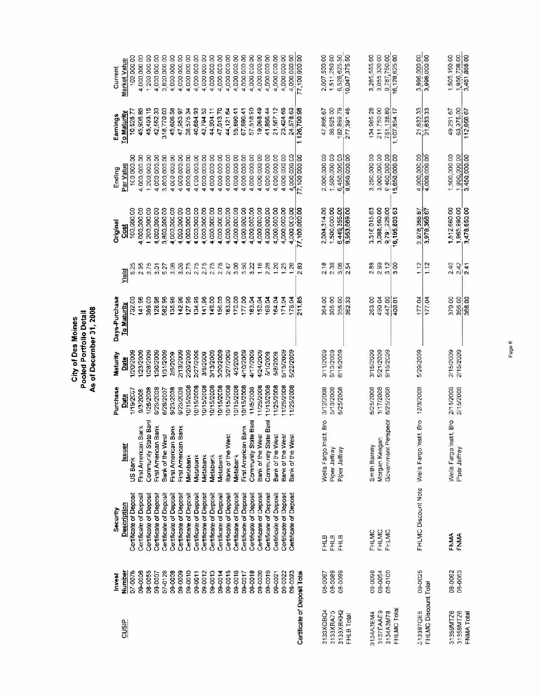| Days-Purchas |
|--------------|
| Maturity     |
| Purchase     |
|              |

|                              | Invest      | Security                      |                                             | Purchase    | Maturity  | Days-Purchase    |                  | <b>Origina</b> | Ending        | Earnings               | Current       |
|------------------------------|-------------|-------------------------------|---------------------------------------------|-------------|-----------|------------------|------------------|----------------|---------------|------------------------|---------------|
| cusip                        | Number      | Description                   | <b>Issuer</b>                               | Date        | Date      | To Maturity      | Yield            | រី             | Par Value     | To Maturity            | Market Value  |
|                              | 07-0078     | Certificate of Deposit        | US Bank                                     | 1/19/2007   | 1/20/2009 | 732.00           | 5,25             | 100,000.00     | 100 000.00    | 10,528.7               | 100,000.00    |
|                              | 09-0008     | Certificate of Deposit        | First Amencan Bank                          | 9/3/2008    | 1/23/2009 | 141.96           | 2.95             | 4,000,000.00   | 4,000,000.00  | 45,908.85              | 4,000,000.00  |
|                              | 08-0055     | Certificate of Deposit        | Community State Bani                        | 1/25/2008   | 1/28/2009 | 389.00           | 3.75             | 1200,000,00    | 1,200,000.00  | 45,493.15              | 1 200,000.00  |
|                              | 09-0007     | Certificate of Deposit        | First American Bank                         | 9/23/2008   | 1/30/2009 | 128.96           | $\frac{5}{3.01}$ | 4,000,000.00   | 4,000 000.00  | 42,552.33              | 4,000,000.00  |
|                              | 07-0128     | Certificate of Deposit        | Bank of the West                            | 6/28/2007   | 1/31/2009 | 582.96           | 5.27             | 3,800,000.00   | 3,800,000.00  | 318,770.03             | 3,800,000.00  |
|                              | 09-0008     | Certificate of Deposit        | First American Bank                         | 9/23/2008   | 2/6/2009  | 135.96           | 3.08             | 4,000,000,00   | 4,000 000.00  | 45,606.58              | 4,000,000.00  |
|                              | 09-0009     | Certificate of Deposit        | Bank<br><b>First American</b>               | 9/23/2008   | 2/13/2009 | 142.96           | $\frac{8}{3}$    | 4000,000.00    | 4,000,000.00  | 47,953.97              | 4,000,000,00  |
|                              | 09-0010     | Certificate of Deposit        | Metabank                                    | 10/15/2008  | 2/20/2009 | 127.96           | 2.75             | 4,000,000.00   | 4,000,000.00  | 38,575.34              | 4,000,000.00  |
|                              | 09-0011     | Certificate of Deposi         | Vietabank                                   | 0/15/2008   | 2/27/2009 | 134.96           | 2.75             | 4,000,000,00   | 4,000,000.00  | 40,684.93              | 4,000,000.00  |
|                              | 09-0012     | Certificate of Deposi         | Vietabank                                   | 8002/51./01 | 3/6/2009  | 141.96           | 2.75             | 4,000,000,00   | 4,000,000.00  | 42,794.52              | 4,000,000.00  |
|                              | 09-0013     | <b>Certificate of Deposit</b> | <b>Vietabar</b> tk                          | 0/15/2008   | 3/13/2009 | 149.00           | 2.75             | 4,000,000.00   | 4,000,000.00  | 44,904.11              | 4,000,000.00  |
|                              | 09-0014     | Certificate of Deposit        | Metabank                                    | 0/15/2008   | 3/20/2009 | 156.00           | 2.75             | 4,000,000 00   | 4,000 000.00  | 47.013.70              | 4,000,000.00  |
|                              | 09-0015     | Certificate of Deposit        | Bank of the West                            | 10/15/2008  | 3/27/2009 | 163.00           | 2.47             | 4,000,000.00   | 4,000 000.00  | 44 121 64              | 4,000,000.00  |
|                              | 09-0016     | <b>Certificate of Deposit</b> | <b>Vietabark</b>                            | 0/15/2008   | 4/3/2009  | 170.00           | $\frac{8}{30}$   | ,000,000.00    | 4,000,000.00  | 55,890.41              | 4,000,000.00  |
|                              | $09 - 0017$ | <b>Certificate of Deposit</b> | First American Bank                         | 10/15/2008  | 4/10/2009 | 177.00           | 3.50             | 4,000,000.00   | 4,000 000.00  | 67,890.41              | 4,000,000.00  |
|                              | 09-0018     | Certificate of Deposit        | Community State Ban                         | 11/5/2008   | 4/17/2009 | 163.04           | 3.22             | 4,000,000.00   | 4,000 000.00  | 57,518.90              | 4,000,000.00  |
|                              | 09-0020     | Certificate of Deposit        | Bank of the West                            | 11/25/2008  | 4/24/2005 | 150.04           | 1.16             | 4,000,000.00   | 4,000,000.00  | 19,068.49              | 4,000,000.00  |
|                              | 09-0019     | Certificate of Deposit        | Community State Ban                         | 11/13/2008  | 5/1/2009  | 169.04           | 2.28             | 4,000,000,00   | 4,000,000.00  | 41.856.44              | 4,000,000.00  |
|                              | 09-0021     | Certificate of Deposit        | Bank of the West                            | 11/25/2008  | 5/8/2009  | 64.04            | 1.20             | 4,000,000.00   | 4,000,000.00  | 21,567.12              | 4,000,000,00  |
|                              | 09-0022     | Certificate of Deposit        | Bank of the West<br>Bank of the West        | 11/25/2008  | 5/15/2009 | 171.04           | 1.25             | 4,000,000.00   | 4,000,000.00  | 23,424.66              | 4,000,000.00  |
|                              | 09-0023     | Certificate of Deposit        |                                             | 11/25/2008  | 5/22/2009 | 178.04           | 1.26             | 4,000,000.00   | 4,000 000.00  | 24,578.63              | 4,000,000.00  |
| Certificate of Deposit Total |             |                               |                                             |             |           | 211.85           | 38<br>2          | 77,100,000.00  | 77,100 000 00 | 1,126,700.98           | 77,100,000.00 |
|                              |             |                               |                                             |             |           |                  |                  |                |               |                        |               |
| 3133XQBQ4                    | 08-0067     | <b>FHLB</b>                   | Wells Fargo Instit. Bro                     | 3/12/2008   | 3/11/2009 | 364.00           | 2.18             | 2.004,314.00   | 2,000,000.00  | 47,866.67              | 2,007,500.00  |
| 3133XRA75                    | 08-0089     | FHLB<br>FHLB                  | Piper Jaffray                               | 5/13/2008   | 5/13/2009 | 365.00           | 2.38             | 1,500,000.00   | 1,500,000.00  | 36,625.00              | 1,511,250.00  |
| 3133XRKH2                    | 08-0099     |                               | Piper Jaffray                               | 6/25/2008   | 6/18/2009 | 358,00           | 3,06             | 6,449,355.00   | 6.450.000.00  | 192,899.79             | 6,528,625.50  |
| FHLB Total                   |             |                               |                                             |             |           | 362.33           | S,               | 953,669.00     |               | 277,391.46             | 0,047,375.50  |
| 3134A3EM4                    | 08-0098     | FHLMC                         | Smith Barney                                | 8/25/2008   | 3/15/2009 | 263.00           | 2.88             | 3,316,015.63   | 3,250,000.00  | 134,965.28             | 3,285,555.00  |
| 3137EAAE9                    | 08-0054     | FHLMC                         | Morgan Keegar                               | 1/17/2008   | 5/21/2009 | 490.04           | 2.99             | 3,088,560.00   | 3,000,000.00  | 211,750.00             | 3,055,320.00  |
| 3134A3M78                    | 08-0100     | FHLMC                         | Government Perspecil                        | 6/25/2008   | 9/15/2009 |                  | $\frac{2}{3}$    | 9,791,228.00   | 9,400,000.00  | 761,138.89             | 9,787,750.00  |
| FHLMC Total                  |             |                               |                                             |             |           | 447.00           | 3.00             | 16,195,803.63  | 5,650,000.00  | 1,107,854.17           | 16,128,625.00 |
| 513397GE5                    | 09-0025     |                               | FHLMC Discount Note Wells Fargo Instit. Bro | 12/3/2008   | 5/29/2009 | 177.04           | 1.12             | 3,978,366 67   | 4,000,000.00  | 21,633.33<br>21,633.33 | 3,996,000.00  |
|                              |             |                               |                                             |             |           | 177.04           | $\frac{2}{112}$  | 978,368.67     | 4,000,000.00  |                        | 3,996,000.00  |
| FHLMC Discount Total         |             |                               |                                             |             |           |                  |                  |                |               |                        |               |
| 31359MTZ6                    | 08-0062     | FNMA                          | Wells Fargo Instit, Bro                     | 2/11/2008   | 2/15/2009 | 370.00           | 2.40             | 1,512,660.00   | 1,500,000.00  | 49,291.67              | 1,505,160.00  |
| 31359MTZ6                    | 08-0063     | FNMA                          | Piper Jaffray                               | 2/15/2008   | 2/15/2009 |                  | 2.42             | 1,965,990.00   | 1,950,000.00  | 63,375.00              | 1,956.708.00  |
| FNMA Total                   |             |                               |                                             |             |           | 366.00<br>388.00 | 241              | 3,478,650,00   | 3,450,000.00  | 112,866.67             | 3,451,868.00  |